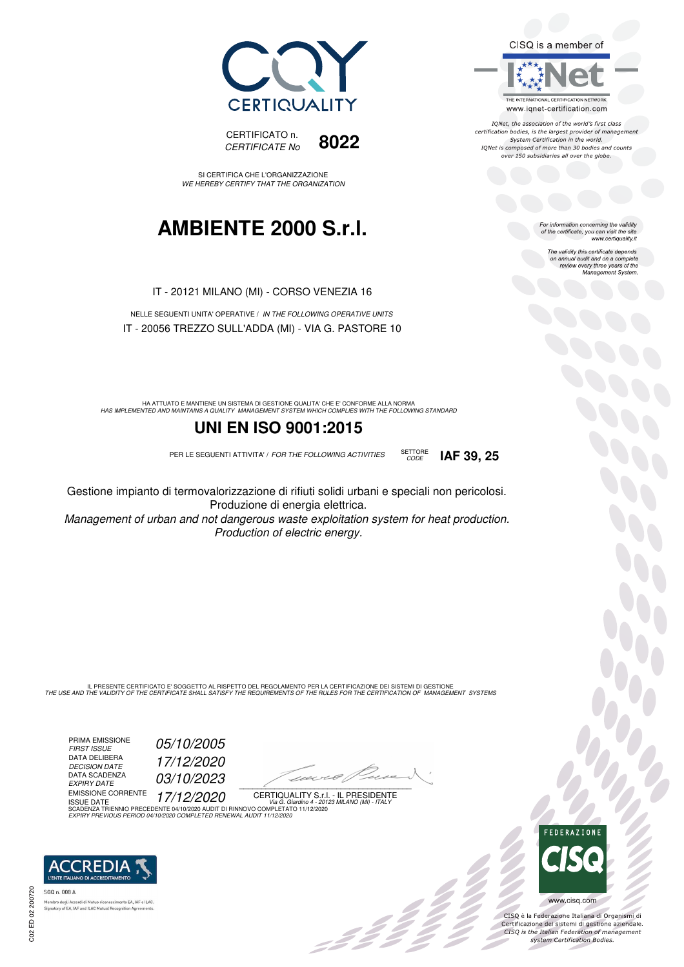



SI CERTIFICA CHE L'ORGANIZZAZIONE WE HEREBY CERTIFY THAT THE ORGANIZATION

## **AMBIENTE 2000 S.r.l.**

IT - 20121 MILANO (MI) - CORSO VENEZIA 16

NELLE SEGUENTI UNITA' OPERATIVE / IN THE FOLLOWING OPERATIVE UNITS IT - 20056 TREZZO SULL'ADDA (MI) - VIA G. PASTORE 10

HA ATTUATO E MANTIENE UN SISTEMA DI GESTIONE QUALITA' CHE E' CONFORME ALLA NORMA<br>HAS IMPLEMENTED AND MAINTAINS A QUALITY MANAGEMENT SYSTEM WHICH COMPLIES WITH THE FOLLOWING STANDARD

### **UNI EN ISO 9001:2015**

PER LE SEGUENTI ATTIVITA' / FOR THE FOLLOWING ACTIVITIES SETTORE



Gestione impianto di termovalorizzazione di rifiuti solidi urbani e speciali non pericolosi. Produzione di energia elettrica.

Management of urban and not dangerous waste exploitation system for heat production. Production of electric energy.

IL PRESENTE CERTIFICATO E' SOGGETTO AL RISPETTO DEL REGOLAMENTO PER LA CERTIFICAZIONE DEI SISTEMI DI GESTIONE<br>THE USE AND THE VALIDITY OF THE CERTIFICATE SHALL SATISFY THE REQUIREMENTS OF THE RULES FOR THE CERTIFICATION OF

PRIMA EMISSIONE FIRST ISSUE 05/10/2005 DATA DELIBERA DECISION DATE<br>DATA SCADENZA<br>EXPIRY DATE

DECISION DATE 17/12/2020 03/10/2023

EMISSIONE CORRENTE ISSUE DATE 17/12/2020

1120×6/1  $\overline{\phantom{a}}$ 

CERTIQUALITY S.r.l. - IL PRESIDENTE ISSUE DATE<br>SCADENZA TRIENNIO PRECEDENTE 04/10/2020 AUDIT DI RINNOVO COMPLETATO 11/12/2020

EXPIRY PREVIOUS PERIOD 04/10/2020 COMPLETED RENEWAL AUDIT 11/12/2020



SGQ n. 008 A tory of EA, IAF and ILAC Mutual Recognit

C02 ED 02 200720

CISQ is a member of



IONet, the association of the world's first class certification bodies, is the largest provider of management System Certification in the world. IQNet is composed of more than 30 bodies and counts over 150 subsidiaries all over the globe.

For information concerning the validity<br>of the certificate, you can visit the site<br>www.certiquality.it

The validity this certificate depends on annual audit and on a complete review every three years of the Management System.



CISQ è la Federazione Italiana di Organismi di Certificazione dei sistemi di gestione aziendale.<br>CISQ is the Italian Federation of management system Certification Bodies.